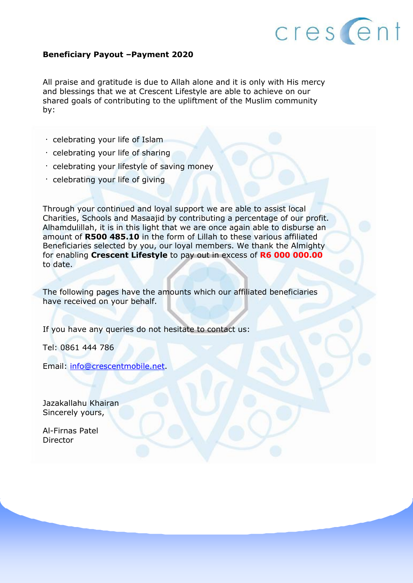

#### **Beneficiary Payout –Payment 2020**

All praise and gratitude is due to Allah alone and it is only with His mercy and blessings that we at Crescent Lifestyle are able to achieve on our shared goals of contributing to the upliftment of the Muslim community by:

- $\cdot$  celebrating your life of Islam
- $\cdot$  celebrating your life of sharing
- $\cdot$  celebrating your lifestyle of saving money
- celebrating your life of giving

Through your continued and loyal support we are able to assist local Charities, Schools and Masaajid by contributing a percentage of our profit. Alhamdulillah, it is in this light that we are once again able to disburse an amount of **R500 485.10** in the form of Lillah to these various affiliated Beneficiaries selected by you, our loyal members. We thank the Almighty for enabling **Crescent Lifestyle** to pay out in excess of **R6 000 000.00**  to date.

The following pages have the amounts which our affiliated beneficiaries have received on your behalf.

If you have any queries do not hesitate to contact us:

Tel: 0861 444 786

Email: [info@crescentmobile.net.](mailto:info@crescentmobile.net)

Jazakallahu Khairan Sincerely yours,

Al-Firnas Patel Director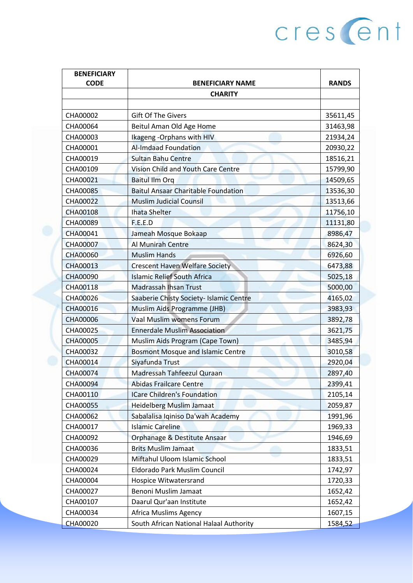| <b>CHARITY</b><br>CHA00002<br><b>Gift Of The Givers</b><br>CHA00064<br>Beitul Aman Old Age Home<br>Ikageng - Orphans with HIV<br>CHA00003<br><b>Al-Imdaad Foundation</b><br>CHA00001<br>CHA00019<br><b>Sultan Bahu Centre</b><br>Vision Child and Youth Care Centre<br>CHA00109<br>CHA00021<br><b>Baitul Ilm Org</b><br>CHA00085<br><b>Baitul Ansaar Charitable Foundation</b><br>CHA00022<br><b>Muslim Judicial Counsil</b><br><b>Ihata Shelter</b><br><b>CHA00108</b><br>F.E.E.D<br>CHA00089<br>CHA00041<br>Jameah Mosque Bokaap<br>CHA00007<br>Al Munirah Centre<br><b>Muslim Hands</b><br><b>CHA00060</b><br><b>Crescent Haven Welfare Society</b><br>CHA00013<br><b>Islamic Relief South Africa</b><br>CHA00090<br>CHA00118<br><b>Madrassah Ihsan Trust</b><br>CHA00026<br>Saaberie Chisty Society- Islamic Centre<br>CHA00016<br>Muslim Aids Programme (JHB)<br>Vaal Muslim womens Forum<br><b>CHA00006</b><br><b>Ennerdale Muslim Association</b><br>CHA00025<br><b>CHA00005</b><br>Muslim Aids Program (Cape Town)<br>CHA00032<br><b>Bosmont Mosque and Islamic Centre</b><br>CHA00014<br>Siyafunda Trust<br>Madressah Tahfeezul Quraan<br><b>CHA00074</b><br>CHA00094<br><b>Abidas Frailcare Centre</b><br>CHA00110<br><b>ICare Children's Foundation</b><br><b>Heidelberg Muslim Jamaat</b><br>CHA00055<br>Sabalalisa Iqiniso Da'wah Academy<br>CHA00062<br><b>Islamic Careline</b><br>CHA00017<br>CHA00092<br>Orphanage & Destitute Ansaar<br>CHA00036<br><b>Brits Muslim Jamaat</b><br>CHA00029<br>Miftahul Uloom Islamic School<br>CHA00024<br>Eldorado Park Muslim Council | <b>BENEFICIARY</b> |                         |              |
|------------------------------------------------------------------------------------------------------------------------------------------------------------------------------------------------------------------------------------------------------------------------------------------------------------------------------------------------------------------------------------------------------------------------------------------------------------------------------------------------------------------------------------------------------------------------------------------------------------------------------------------------------------------------------------------------------------------------------------------------------------------------------------------------------------------------------------------------------------------------------------------------------------------------------------------------------------------------------------------------------------------------------------------------------------------------------------------------------------------------------------------------------------------------------------------------------------------------------------------------------------------------------------------------------------------------------------------------------------------------------------------------------------------------------------------------------------------------------------------------------------------------------------------------------------------------------------------|--------------------|-------------------------|--------------|
|                                                                                                                                                                                                                                                                                                                                                                                                                                                                                                                                                                                                                                                                                                                                                                                                                                                                                                                                                                                                                                                                                                                                                                                                                                                                                                                                                                                                                                                                                                                                                                                          | <b>CODE</b>        | <b>BENEFICIARY NAME</b> | <b>RANDS</b> |
|                                                                                                                                                                                                                                                                                                                                                                                                                                                                                                                                                                                                                                                                                                                                                                                                                                                                                                                                                                                                                                                                                                                                                                                                                                                                                                                                                                                                                                                                                                                                                                                          |                    |                         |              |
|                                                                                                                                                                                                                                                                                                                                                                                                                                                                                                                                                                                                                                                                                                                                                                                                                                                                                                                                                                                                                                                                                                                                                                                                                                                                                                                                                                                                                                                                                                                                                                                          |                    |                         |              |
|                                                                                                                                                                                                                                                                                                                                                                                                                                                                                                                                                                                                                                                                                                                                                                                                                                                                                                                                                                                                                                                                                                                                                                                                                                                                                                                                                                                                                                                                                                                                                                                          |                    |                         | 35611,45     |
|                                                                                                                                                                                                                                                                                                                                                                                                                                                                                                                                                                                                                                                                                                                                                                                                                                                                                                                                                                                                                                                                                                                                                                                                                                                                                                                                                                                                                                                                                                                                                                                          |                    |                         | 31463,98     |
|                                                                                                                                                                                                                                                                                                                                                                                                                                                                                                                                                                                                                                                                                                                                                                                                                                                                                                                                                                                                                                                                                                                                                                                                                                                                                                                                                                                                                                                                                                                                                                                          |                    |                         | 21934,24     |
|                                                                                                                                                                                                                                                                                                                                                                                                                                                                                                                                                                                                                                                                                                                                                                                                                                                                                                                                                                                                                                                                                                                                                                                                                                                                                                                                                                                                                                                                                                                                                                                          |                    |                         | 20930,22     |
|                                                                                                                                                                                                                                                                                                                                                                                                                                                                                                                                                                                                                                                                                                                                                                                                                                                                                                                                                                                                                                                                                                                                                                                                                                                                                                                                                                                                                                                                                                                                                                                          |                    |                         | 18516,21     |
|                                                                                                                                                                                                                                                                                                                                                                                                                                                                                                                                                                                                                                                                                                                                                                                                                                                                                                                                                                                                                                                                                                                                                                                                                                                                                                                                                                                                                                                                                                                                                                                          |                    |                         | 15799,90     |
|                                                                                                                                                                                                                                                                                                                                                                                                                                                                                                                                                                                                                                                                                                                                                                                                                                                                                                                                                                                                                                                                                                                                                                                                                                                                                                                                                                                                                                                                                                                                                                                          |                    |                         | 14509,65     |
|                                                                                                                                                                                                                                                                                                                                                                                                                                                                                                                                                                                                                                                                                                                                                                                                                                                                                                                                                                                                                                                                                                                                                                                                                                                                                                                                                                                                                                                                                                                                                                                          |                    |                         | 13536,30     |
|                                                                                                                                                                                                                                                                                                                                                                                                                                                                                                                                                                                                                                                                                                                                                                                                                                                                                                                                                                                                                                                                                                                                                                                                                                                                                                                                                                                                                                                                                                                                                                                          |                    |                         | 13513,66     |
|                                                                                                                                                                                                                                                                                                                                                                                                                                                                                                                                                                                                                                                                                                                                                                                                                                                                                                                                                                                                                                                                                                                                                                                                                                                                                                                                                                                                                                                                                                                                                                                          |                    |                         | 11756,10     |
|                                                                                                                                                                                                                                                                                                                                                                                                                                                                                                                                                                                                                                                                                                                                                                                                                                                                                                                                                                                                                                                                                                                                                                                                                                                                                                                                                                                                                                                                                                                                                                                          |                    |                         | 11131,80     |
|                                                                                                                                                                                                                                                                                                                                                                                                                                                                                                                                                                                                                                                                                                                                                                                                                                                                                                                                                                                                                                                                                                                                                                                                                                                                                                                                                                                                                                                                                                                                                                                          |                    |                         | 8986,47      |
|                                                                                                                                                                                                                                                                                                                                                                                                                                                                                                                                                                                                                                                                                                                                                                                                                                                                                                                                                                                                                                                                                                                                                                                                                                                                                                                                                                                                                                                                                                                                                                                          |                    |                         | 8624,30      |
|                                                                                                                                                                                                                                                                                                                                                                                                                                                                                                                                                                                                                                                                                                                                                                                                                                                                                                                                                                                                                                                                                                                                                                                                                                                                                                                                                                                                                                                                                                                                                                                          |                    |                         | 6926,60      |
|                                                                                                                                                                                                                                                                                                                                                                                                                                                                                                                                                                                                                                                                                                                                                                                                                                                                                                                                                                                                                                                                                                                                                                                                                                                                                                                                                                                                                                                                                                                                                                                          |                    |                         | 6473,88      |
|                                                                                                                                                                                                                                                                                                                                                                                                                                                                                                                                                                                                                                                                                                                                                                                                                                                                                                                                                                                                                                                                                                                                                                                                                                                                                                                                                                                                                                                                                                                                                                                          |                    |                         | 5025,18      |
|                                                                                                                                                                                                                                                                                                                                                                                                                                                                                                                                                                                                                                                                                                                                                                                                                                                                                                                                                                                                                                                                                                                                                                                                                                                                                                                                                                                                                                                                                                                                                                                          |                    |                         | 5000,00      |
|                                                                                                                                                                                                                                                                                                                                                                                                                                                                                                                                                                                                                                                                                                                                                                                                                                                                                                                                                                                                                                                                                                                                                                                                                                                                                                                                                                                                                                                                                                                                                                                          |                    |                         | 4165,02      |
|                                                                                                                                                                                                                                                                                                                                                                                                                                                                                                                                                                                                                                                                                                                                                                                                                                                                                                                                                                                                                                                                                                                                                                                                                                                                                                                                                                                                                                                                                                                                                                                          |                    |                         | 3983,93      |
|                                                                                                                                                                                                                                                                                                                                                                                                                                                                                                                                                                                                                                                                                                                                                                                                                                                                                                                                                                                                                                                                                                                                                                                                                                                                                                                                                                                                                                                                                                                                                                                          |                    |                         | 3892,78      |
|                                                                                                                                                                                                                                                                                                                                                                                                                                                                                                                                                                                                                                                                                                                                                                                                                                                                                                                                                                                                                                                                                                                                                                                                                                                                                                                                                                                                                                                                                                                                                                                          |                    |                         | 3621,75      |
|                                                                                                                                                                                                                                                                                                                                                                                                                                                                                                                                                                                                                                                                                                                                                                                                                                                                                                                                                                                                                                                                                                                                                                                                                                                                                                                                                                                                                                                                                                                                                                                          |                    |                         | 3485,94      |
|                                                                                                                                                                                                                                                                                                                                                                                                                                                                                                                                                                                                                                                                                                                                                                                                                                                                                                                                                                                                                                                                                                                                                                                                                                                                                                                                                                                                                                                                                                                                                                                          |                    |                         | 3010,58      |
|                                                                                                                                                                                                                                                                                                                                                                                                                                                                                                                                                                                                                                                                                                                                                                                                                                                                                                                                                                                                                                                                                                                                                                                                                                                                                                                                                                                                                                                                                                                                                                                          |                    |                         | 2920,04      |
|                                                                                                                                                                                                                                                                                                                                                                                                                                                                                                                                                                                                                                                                                                                                                                                                                                                                                                                                                                                                                                                                                                                                                                                                                                                                                                                                                                                                                                                                                                                                                                                          |                    |                         | 2897,40      |
|                                                                                                                                                                                                                                                                                                                                                                                                                                                                                                                                                                                                                                                                                                                                                                                                                                                                                                                                                                                                                                                                                                                                                                                                                                                                                                                                                                                                                                                                                                                                                                                          |                    |                         | 2399,41      |
|                                                                                                                                                                                                                                                                                                                                                                                                                                                                                                                                                                                                                                                                                                                                                                                                                                                                                                                                                                                                                                                                                                                                                                                                                                                                                                                                                                                                                                                                                                                                                                                          |                    |                         | 2105,14      |
|                                                                                                                                                                                                                                                                                                                                                                                                                                                                                                                                                                                                                                                                                                                                                                                                                                                                                                                                                                                                                                                                                                                                                                                                                                                                                                                                                                                                                                                                                                                                                                                          |                    |                         | 2059,87      |
|                                                                                                                                                                                                                                                                                                                                                                                                                                                                                                                                                                                                                                                                                                                                                                                                                                                                                                                                                                                                                                                                                                                                                                                                                                                                                                                                                                                                                                                                                                                                                                                          |                    |                         | 1991,96      |
|                                                                                                                                                                                                                                                                                                                                                                                                                                                                                                                                                                                                                                                                                                                                                                                                                                                                                                                                                                                                                                                                                                                                                                                                                                                                                                                                                                                                                                                                                                                                                                                          |                    |                         | 1969,33      |
|                                                                                                                                                                                                                                                                                                                                                                                                                                                                                                                                                                                                                                                                                                                                                                                                                                                                                                                                                                                                                                                                                                                                                                                                                                                                                                                                                                                                                                                                                                                                                                                          |                    |                         | 1946,69      |
|                                                                                                                                                                                                                                                                                                                                                                                                                                                                                                                                                                                                                                                                                                                                                                                                                                                                                                                                                                                                                                                                                                                                                                                                                                                                                                                                                                                                                                                                                                                                                                                          |                    |                         | 1833,51      |
|                                                                                                                                                                                                                                                                                                                                                                                                                                                                                                                                                                                                                                                                                                                                                                                                                                                                                                                                                                                                                                                                                                                                                                                                                                                                                                                                                                                                                                                                                                                                                                                          |                    |                         | 1833,51      |
|                                                                                                                                                                                                                                                                                                                                                                                                                                                                                                                                                                                                                                                                                                                                                                                                                                                                                                                                                                                                                                                                                                                                                                                                                                                                                                                                                                                                                                                                                                                                                                                          |                    |                         | 1742,97      |
| CHA00004<br>Hospice Witwatersrand                                                                                                                                                                                                                                                                                                                                                                                                                                                                                                                                                                                                                                                                                                                                                                                                                                                                                                                                                                                                                                                                                                                                                                                                                                                                                                                                                                                                                                                                                                                                                        |                    |                         | 1720,33      |
| CHA00027<br>Benoni Muslim Jamaat                                                                                                                                                                                                                                                                                                                                                                                                                                                                                                                                                                                                                                                                                                                                                                                                                                                                                                                                                                                                                                                                                                                                                                                                                                                                                                                                                                                                                                                                                                                                                         |                    |                         | 1652,42      |
| Daarul Qur'aan Institute<br>CHA00107                                                                                                                                                                                                                                                                                                                                                                                                                                                                                                                                                                                                                                                                                                                                                                                                                                                                                                                                                                                                                                                                                                                                                                                                                                                                                                                                                                                                                                                                                                                                                     |                    |                         | 1652,42      |
| CHA00034<br><b>Africa Muslims Agency</b>                                                                                                                                                                                                                                                                                                                                                                                                                                                                                                                                                                                                                                                                                                                                                                                                                                                                                                                                                                                                                                                                                                                                                                                                                                                                                                                                                                                                                                                                                                                                                 |                    |                         | 1607,15      |
| South African National Halaal Authority<br><b>CHA00020</b>                                                                                                                                                                                                                                                                                                                                                                                                                                                                                                                                                                                                                                                                                                                                                                                                                                                                                                                                                                                                                                                                                                                                                                                                                                                                                                                                                                                                                                                                                                                               |                    |                         | 1584,52      |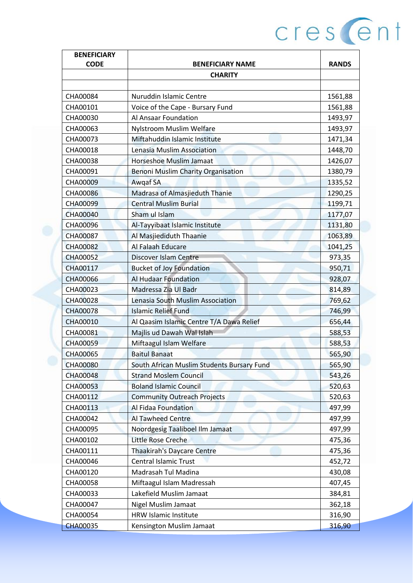| <b>BENEFICIARY</b> |                                            |              |
|--------------------|--------------------------------------------|--------------|
| <b>CODE</b>        | <b>BENEFICIARY NAME</b>                    | <b>RANDS</b> |
|                    | <b>CHARITY</b>                             |              |
|                    |                                            |              |
| CHA00084           | Nuruddin Islamic Centre                    | 1561,88      |
| CHA00101           | Voice of the Cape - Bursary Fund           | 1561,88      |
| CHA00030           | Al Ansaar Foundation                       | 1493,97      |
| CHA00063           | Nylstroom Muslim Welfare                   | 1493,97      |
| CHA00073           | Miftahuddin Islamic Institute              | 1471,34      |
| CHA00018           | Lenasia Muslim Association                 | 1448,70      |
| CHA00038           | <b>Horseshoe Muslim Jamaat</b>             | 1426,07      |
| CHA00091           | <b>Benoni Muslim Charity Organisation</b>  | 1380,79      |
| CHA00009           | Awgaf SA                                   | 1335,52      |
| CHA00086           | Madrasa of Almasjieduth Thanie             | 1290,25      |
| CHA00099           | <b>Central Muslim Burial</b>               | 1199,71      |
| <b>CHA00040</b>    | Sham ul Islam                              | 1177,07      |
| CHA00096           | Al-Tayyibaat Islamic Institute             | 1131,80      |
| CHA00087           | Al Masjiediduth Thaanie                    | 1063,89      |
| <b>CHA00082</b>    | Al Falaah Educare                          | 1041,25      |
| CHA00052           | Discover Islam Centre                      | 973,35       |
| CHA00117           | <b>Bucket of Joy Foundation</b>            | 950,71       |
| <b>CHA00066</b>    | <b>Al Hudaar Foundation</b>                | 928,07       |
| CHA00023           | Madressa Zia Ul Badr                       | 814,89       |
| <b>CHA00028</b>    | Lenasia South Muslim Association           | 769,62       |
| <b>CHA00078</b>    | <b>Islamic Relief Fund</b>                 | 746,99       |
| CHA00010           | Al Qaasim Islamic Centre T/A Dawa Relief   | 656,44       |
| CHA00081           | Majlis ud Dawah Wal Islah                  | 588,53       |
| <b>CHA00059</b>    | Miftaagul Islam Welfare                    | 588,53       |
| <b>CHA00065</b>    | <b>Baitul Banaat</b>                       | 565,90       |
| <b>CHA00080</b>    | South African Muslim Students Bursary Fund | 565,90       |
| <b>CHA00048</b>    | <b>Strand Moslem Council</b>               | 543,26       |
| CHA00053           | <b>Boland Islamic Council</b>              | 520,63       |
| CHA00112           | <b>Community Outreach Projects</b>         | 520,63       |
| CHA00113           | Al Fidaa Foundation                        | 497,99       |
| CHA00042           | <b>Al Tawheed Centre</b>                   | 497,99       |
| CHA00095           | Noordgesig Taaliboel Ilm Jamaat            | 497,99       |
| CHA00102           | Little Rose Creche                         | 475,36       |
| CHA00111           | <b>Thaakirah's Daycare Centre</b>          | 475,36       |
| CHA00046           | <b>Central Islamic Trust</b>               | 452,72       |
| CHA00120           | Madrasah Tul Madina                        | 430,08       |
| CHA00058           | Miftaagul Islam Madressah                  | 407,45       |
| CHA00033           | Lakefield Muslim Jamaat                    | 384,81       |
| CHA00047           | <b>Nigel Muslim Jamaat</b>                 | 362,18       |
| CHA00054           | HRW Islamic Institute                      | 316,90       |
| <b>CHA00035</b>    | Kensington Muslim Jamaat                   | 316,90       |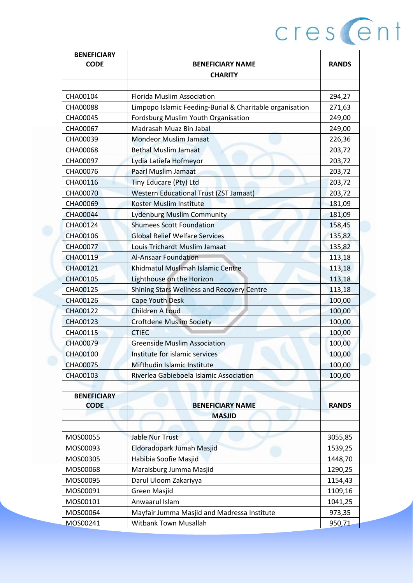| <b>BENEFICIARY</b> |                                                          |              |
|--------------------|----------------------------------------------------------|--------------|
| <b>CODE</b>        | <b>BENEFICIARY NAME</b>                                  | <b>RANDS</b> |
|                    | <b>CHARITY</b>                                           |              |
|                    |                                                          |              |
| CHA00104           | <b>Florida Muslim Association</b>                        | 294,27       |
| CHA00088           | Limpopo Islamic Feeding-Burial & Charitable organisation | 271,63       |
| CHA00045           | Fordsburg Muslim Youth Organisation                      | 249,00       |
| CHA00067           | Madrasah Muaz Bin Jabal                                  | 249,00       |
| CHA00039           | <b>Mondeor Muslim Jamaat</b>                             | 226,36       |
| CHA00068           | <b>Bethal Muslim Jamaat</b>                              | 203,72       |
| CHA00097           | Lydia Latiefa Hofmeyor                                   | 203,72       |
| CHA00076           | <b>Paarl Muslim Jamaat</b>                               | 203,72       |
| CHA00116           | Tiny Educare (Pty) Ltd                                   | 203,72       |
| CHA00070           | <b>Western Educational Trust (ZST Jamaat)</b>            | 203,72       |
| CHA00069           | Koster Muslim Institute                                  | 181,09       |
| <b>CHA00044</b>    | <b>Lydenburg Muslim Community</b>                        | 181,09       |
| CHA00124           | <b>Shumees Scott Foundation</b>                          | 158,45       |
| CHA00106           | <b>Global Relief Welfare Services</b>                    | 135,82       |
| <b>CHA00077</b>    | Louis Trichardt Muslim Jamaat                            | 135,82       |
| CHA00119           | <b>Al-Ansaar Foundation</b>                              | 113,18       |
| CHA00121           | Khidmatul Muslimah Islamic Centre                        | 113,18       |
| CHA00105           | Lighthouse on the Horizon                                | 113,18       |
| CHA00125           | Shining Stars Wellness and Recovery Centre               | 113,18       |
| CHA00126           | Cape Youth Desk                                          | 100,00       |
| CHA00122           | Children A Loud                                          | 100,00       |
| CHA00123           | <b>Croftdene Muslim Society</b>                          | 100,00       |
| CHA00115           | <b>CTIEC</b>                                             | 100,00       |
| CHA00079           | <b>Greenside Muslim Association</b>                      | 100,00       |
| CHA00100           | Institute for islamic services                           | 100,00       |
| <b>CHA00075</b>    | Mifthudin Islamic Institute                              | 100,00       |
| CHA00103           | Riverlea Gabieboela Islamic Association                  | 100,00       |
|                    |                                                          |              |
| <b>BENEFICIARY</b> |                                                          |              |
| <b>CODE</b>        | <b>BENEFICIARY NAME</b>                                  | <b>RANDS</b> |
|                    | <b>MASJID</b>                                            |              |
|                    |                                                          |              |
| MOS00055           | <b>Jable Nur Trust</b>                                   | 3055,85      |
| MOS00093           | Eldoradopark Jumah Masjid                                | 1539,25      |
| MOS00305           | Habibia Soofie Masjid                                    | 1448,70      |
| MOS00068           | Maraisburg Jumma Masjid                                  | 1290,25      |
| MOS00095           | Darul Uloom Zakariyya                                    | 1154,43      |
| MOS00091           | Green Masjid                                             | 1109,16      |
| MOS00101           | Anwaarul Islam                                           | 1041,25      |
| MOS00064           | Mayfair Jumma Masjid and Madressa Institute              | 973,35       |
| MOS00241           | <b>Witbank Town Musallah</b>                             | 950,71       |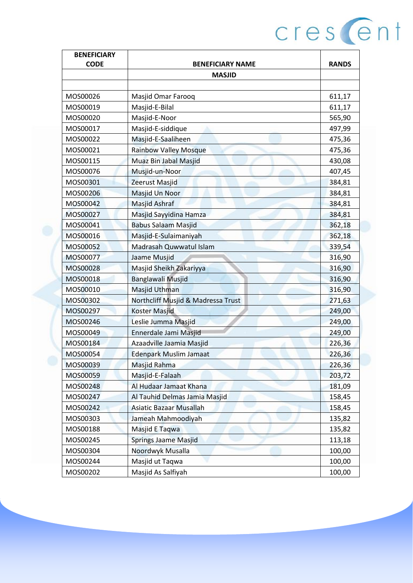| <b>BENEFICIARY</b>   |                                    |              |
|----------------------|------------------------------------|--------------|
| <b>CODE</b>          | <b>BENEFICIARY NAME</b>            | <b>RANDS</b> |
|                      | <b>MASJID</b>                      |              |
| MOS00026             | Masjid Omar Farooq                 | 611,17       |
|                      |                                    |              |
| MOS00019             | Masjid-E-Bilal                     | 611,17       |
| MOS00020             | Masjid-E-Noor                      | 565,90       |
| MOS00017             | Masjid-E-siddique                  | 497,99       |
| MOS00022<br>MOS00021 | Masjid-E-Saaliheen                 | 475,36       |
|                      | <b>Rainbow Valley Mosque</b>       | 475,36       |
| MOS00115             | Muaz Bin Jabal Masjid              | 430,08       |
| MOS00076             | Musjid-un-Noor                     | 407,45       |
| MOS00301             | <b>Zeerust Masjid</b>              | 384,81       |
| MOS00206             | Masjid Un Noor                     | 384,81       |
| MOS00042             | <b>Masjid Ashraf</b>               | 384,81       |
| MOS00027             | Masjid Sayyidina Hamza             | 384,81       |
| MOS00041             | <b>Babus Salaam Masjid</b>         | 362,18       |
| MOS00016             | Masjid-E-Sulaimaniyah              | 362,18       |
| MOS00052             | Madrasah Quwwatul Islam            | 339,54       |
| MOS00077             | Jaame Musjid                       | 316,90       |
| MOS00028             | Masjid Sheikh Zakariyya            | 316,90       |
| MOS00018             | <b>Banglawali Musjid</b>           | 316,90       |
| MOS00010             | Masjid Uthman                      | 316,90       |
| MOS00302             | Northcliff Musjid & Madressa Trust | 271,63       |
| MOS00297             | <b>Koster Masjid</b>               | 249,00       |
| MOS00246             | Leslie Jumma Masjid                | 249,00       |
| MOS00049             | Ennerdale Jami Masjid              | 249,00       |
| MOS00184             | Azaadville Jaamia Masjid           | 226,36       |
| MOS00054             | <b>Edenpark Muslim Jamaat</b>      | 226,36       |
| MOS00039             | Masjid Rahma                       | 226,36       |
| MOS00059             | Masjid-E-Falaah                    | 203,72       |
| MOS00248             | Al Hudaar Jamaat Khana             | 181,09       |
| MOS00247<br>MOS00242 | Al Tauhid Delmas Jamia Masjid      | 158,45       |
|                      | <b>Asiatic Bazaar Musallah</b>     | 158,45       |
| MOS00303             | Jameah Mahmoodiyah                 | 135,82       |
| MOS00188             | Masjid E Taqwa                     | 135,82       |
| MOS00245             | <b>Springs Jaame Masjid</b>        | 113,18       |
| MOS00304             | Noordwyk Musalla                   | 100,00       |
| MOS00244             | Masjid ut Taqwa                    | 100,00       |
| MOS00202             | Masjid As Salfiyah                 | 100,00       |